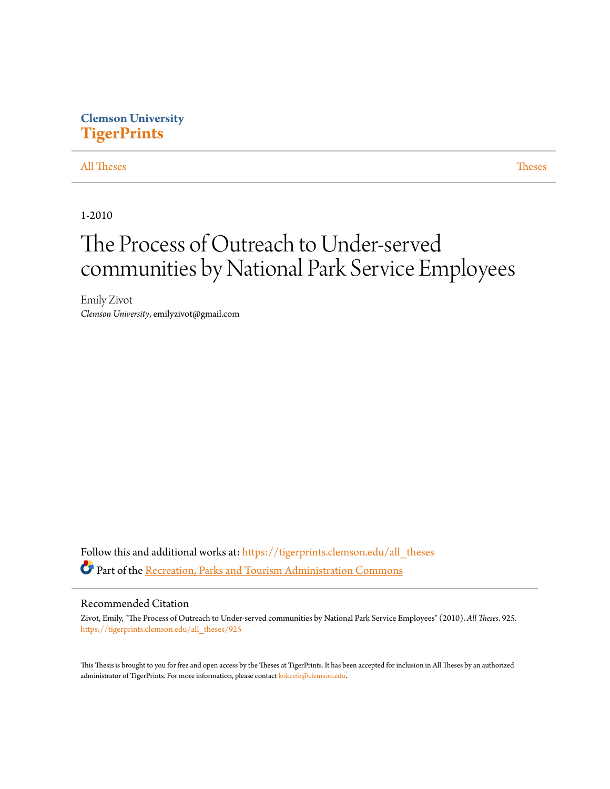## **Clemson University [TigerPrints](https://tigerprints.clemson.edu?utm_source=tigerprints.clemson.edu%2Fall_theses%2F925&utm_medium=PDF&utm_campaign=PDFCoverPages)**

[All Theses](https://tigerprints.clemson.edu/all_theses?utm_source=tigerprints.clemson.edu%2Fall_theses%2F925&utm_medium=PDF&utm_campaign=PDFCoverPages) **[Theses](https://tigerprints.clemson.edu/theses?utm_source=tigerprints.clemson.edu%2Fall_theses%2F925&utm_medium=PDF&utm_campaign=PDFCoverPages)** 

1-2010

# The Process of Outreach to Under-served communities by National Park Service Employees

Emily Zivot *Clemson University*, emilyzivot@gmail.com

Follow this and additional works at: [https://tigerprints.clemson.edu/all\\_theses](https://tigerprints.clemson.edu/all_theses?utm_source=tigerprints.clemson.edu%2Fall_theses%2F925&utm_medium=PDF&utm_campaign=PDFCoverPages) Part of the [Recreation, Parks and Tourism Administration Commons](http://network.bepress.com/hgg/discipline/1067?utm_source=tigerprints.clemson.edu%2Fall_theses%2F925&utm_medium=PDF&utm_campaign=PDFCoverPages)

#### Recommended Citation

Zivot, Emily, "The Process of Outreach to Under-served communities by National Park Service Employees" (2010). *All Theses*. 925. [https://tigerprints.clemson.edu/all\\_theses/925](https://tigerprints.clemson.edu/all_theses/925?utm_source=tigerprints.clemson.edu%2Fall_theses%2F925&utm_medium=PDF&utm_campaign=PDFCoverPages)

This Thesis is brought to you for free and open access by the Theses at TigerPrints. It has been accepted for inclusion in All Theses by an authorized administrator of TigerPrints. For more information, please contact [kokeefe@clemson.edu](mailto:kokeefe@clemson.edu).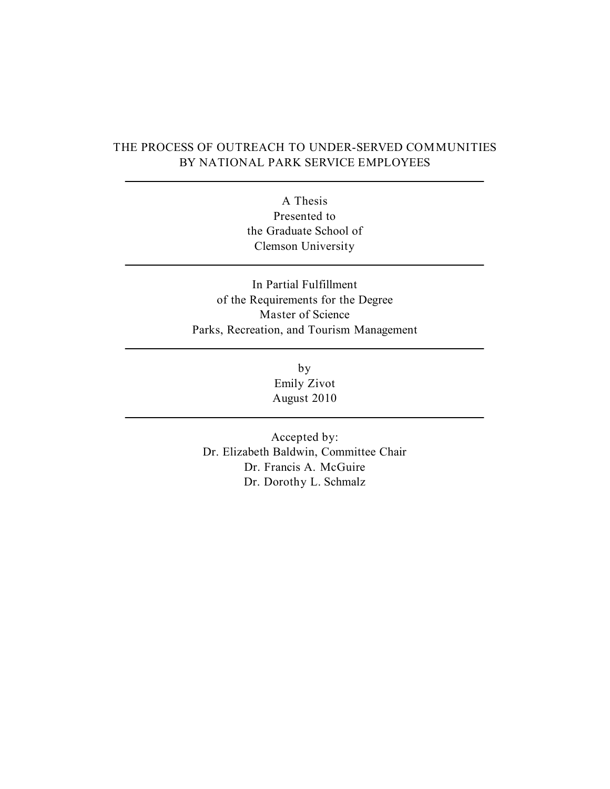### THE PROCESS OF OUTREACH TO UNDER-SERVED COMMUNITIES BY NATIONAL PARK SERVICE EMPLOYEES

A Thesis Presented to the Graduate School of Clemson University

In Partial Fulfillment of the Requirements for the Degree Master of Science Parks, Recreation, and Tourism Management

> by Emily Zivot August 2010

Accepted by: Dr. Elizabeth Baldwin, Committee Chair Dr. Francis A. McGuire Dr. Dorothy L. Schmalz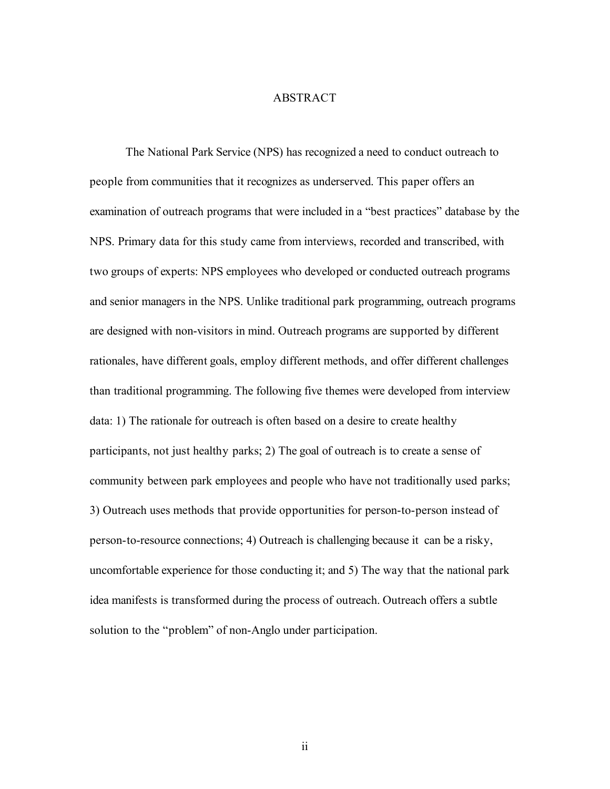### ABSTRACT

The National Park Service (NPS) has recognized a need to conduct outreach to people from communities that it recognizes as underserved. This paper offers an examination of outreach programs that were included in a "best practices" database by the NPS. Primary data for this study came from interviews, recorded and transcribed, with two groups of experts: NPS employees who developed or conducted outreach programs and senior managers in the NPS. Unlike traditional park programming, outreach programs are designed with non-visitors in mind. Outreach programs are supported by different rationales, have different goals, employ different methods, and offer different challenges than traditional programming. The following five themes were developed from interview data: 1) The rationale for outreach is often based on a desire to create healthy participants, not just healthy parks; 2) The goal of outreach is to create a sense of community between park employees and people who have not traditionally used parks; 3) Outreach uses methods that provide opportunities for person-to-person instead of person-to-resource connections; 4) Outreach is challenging because it can be a risky, uncomfortable experience for those conducting it; and 5) The way that the national park idea manifests is transformed during the process of outreach. Outreach offers a subtle solution to the "problem" of non-Anglo under participation.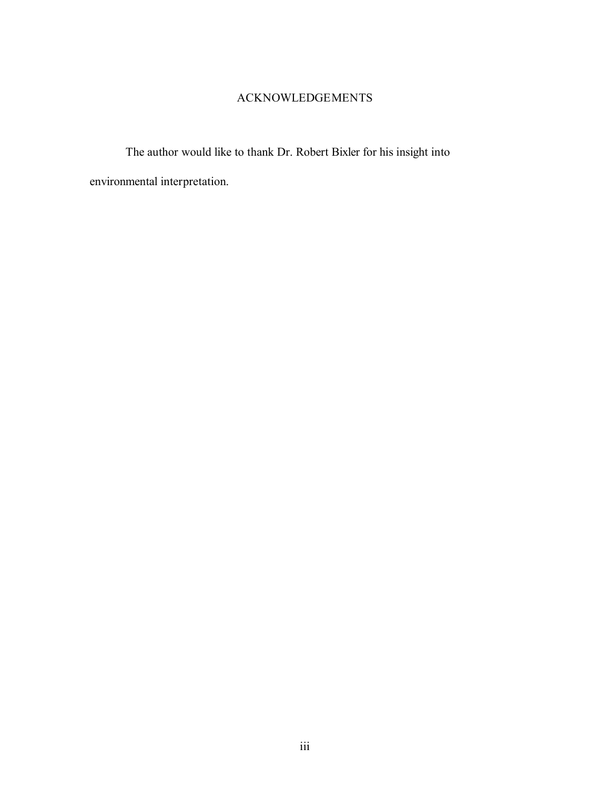### ACKNOWLEDGEMENTS

The author would like to thank Dr. Robert Bixler for his insight into environmental interpretation.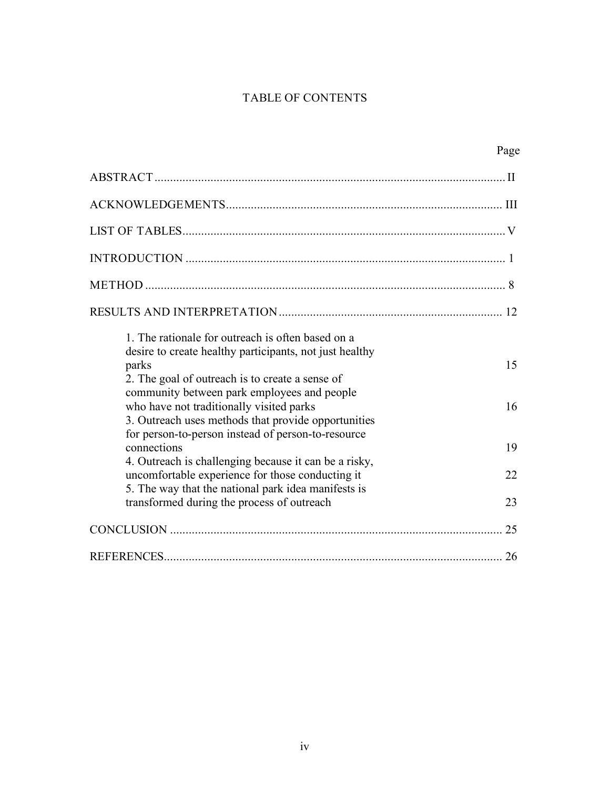## TABLE OF CONTENTS

|                                                                                                                                                                                                                                                                                                                            | Page     |
|----------------------------------------------------------------------------------------------------------------------------------------------------------------------------------------------------------------------------------------------------------------------------------------------------------------------------|----------|
|                                                                                                                                                                                                                                                                                                                            |          |
|                                                                                                                                                                                                                                                                                                                            |          |
|                                                                                                                                                                                                                                                                                                                            |          |
|                                                                                                                                                                                                                                                                                                                            |          |
|                                                                                                                                                                                                                                                                                                                            |          |
|                                                                                                                                                                                                                                                                                                                            |          |
| 1. The rationale for outreach is often based on a<br>desire to create healthy participants, not just healthy<br>parks<br>2. The goal of outreach is to create a sense of<br>community between park employees and people<br>who have not traditionally visited parks<br>3. Outreach uses methods that provide opportunities | 15<br>16 |
| for person-to-person instead of person-to-resource<br>connections                                                                                                                                                                                                                                                          | 19       |
| 4. Outreach is challenging because it can be a risky,<br>uncomfortable experience for those conducting it<br>5. The way that the national park idea manifests is                                                                                                                                                           | 22       |
| transformed during the process of outreach                                                                                                                                                                                                                                                                                 | 23       |
|                                                                                                                                                                                                                                                                                                                            | 25       |
|                                                                                                                                                                                                                                                                                                                            |          |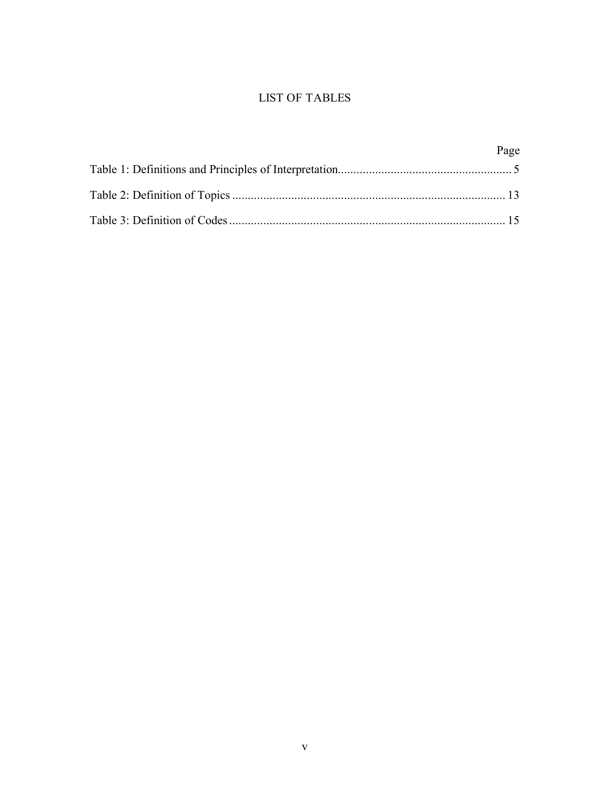## LIST OF TABLES

| Page |
|------|
|      |
|      |
|      |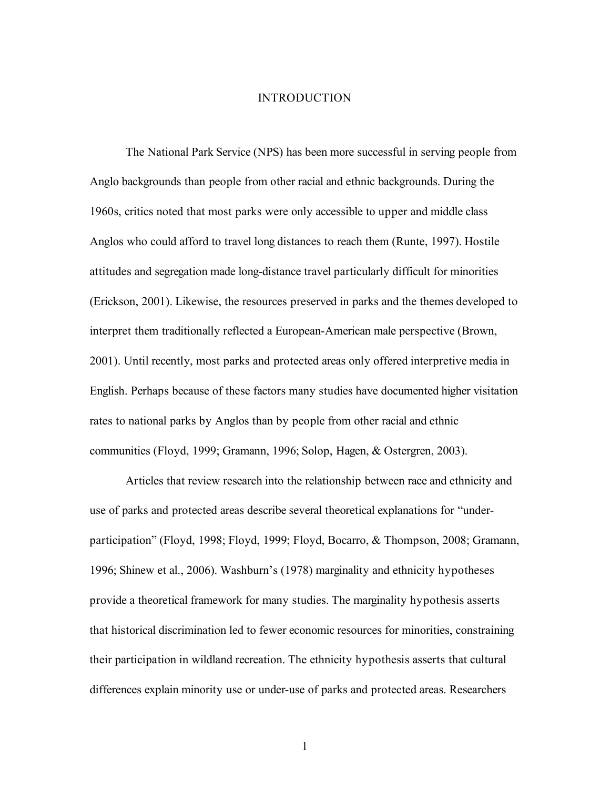### INTRODUCTION

The National Park Service (NPS) has been more successful in serving people from Anglo backgrounds than people from other racial and ethnic backgrounds. During the 1960s, critics noted that most parks were only accessible to upper and middle class Anglos who could afford to travel long distances to reach them (Runte, 1997). Hostile attitudes and segregation made long-distance travel particularly difficult for minorities (Erickson, 2001). Likewise, the resources preserved in parks and the themes developed to interpret them traditionally reflected a European-American male perspective (Brown, 2001). Until recently, most parks and protected areas only offered interpretive media in English. Perhaps because of these factors many studies have documented higher visitation rates to national parks by Anglos than by people from other racial and ethnic communities (Floyd, 1999; Gramann, 1996; Solop, Hagen, & Ostergren, 2003).

Articles that review research into the relationship between race and ethnicity and use of parks and protected areas describe several theoretical explanations for "underparticipation" (Floyd, 1998; Floyd, 1999; Floyd, Bocarro, & Thompson, 2008; Gramann, 1996; Shinew et al., 2006). Washburn's (1978) marginality and ethnicity hypotheses provide a theoretical framework for many studies. The marginality hypothesis asserts that historical discrimination led to fewer economic resources for minorities, constraining their participation in wildland recreation. The ethnicity hypothesis asserts that cultural differences explain minority use or under-use of parks and protected areas. Researchers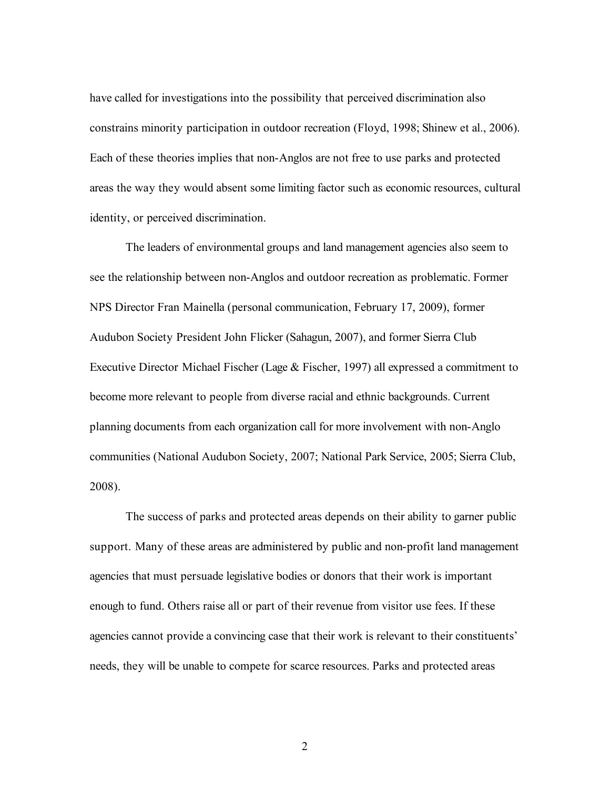have called for investigations into the possibility that perceived discrimination also constrains minority participation in outdoor recreation (Floyd, 1998; Shinew et al., 2006). Each of these theories implies that non-Anglos are not free to use parks and protected areas the way they would absent some limiting factor such as economic resources, cultural identity, or perceived discrimination.

The leaders of environmental groups and land management agencies also seem to see the relationship between non-Anglos and outdoor recreation as problematic. Former NPS Director Fran Mainella (personal communication, February 17, 2009), former Audubon Society President John Flicker (Sahagun, 2007), and former Sierra Club Executive Director Michael Fischer (Lage & Fischer, 1997) all expressed a commitment to become more relevant to people from diverse racial and ethnic backgrounds. Current planning documents from each organization call for more involvement with non-Anglo communities (National Audubon Society, 2007; National Park Service, 2005; Sierra Club, 2008).

The success of parks and protected areas depends on their ability to garner public support. Many of these areas are administered by public and non-profit land management agencies that must persuade legislative bodies or donors that their work is important enough to fund. Others raise all or part of their revenue from visitor use fees. If these agencies cannot provide a convincing case that their work is relevant to their constituents' needs, they will be unable to compete for scarce resources. Parks and protected areas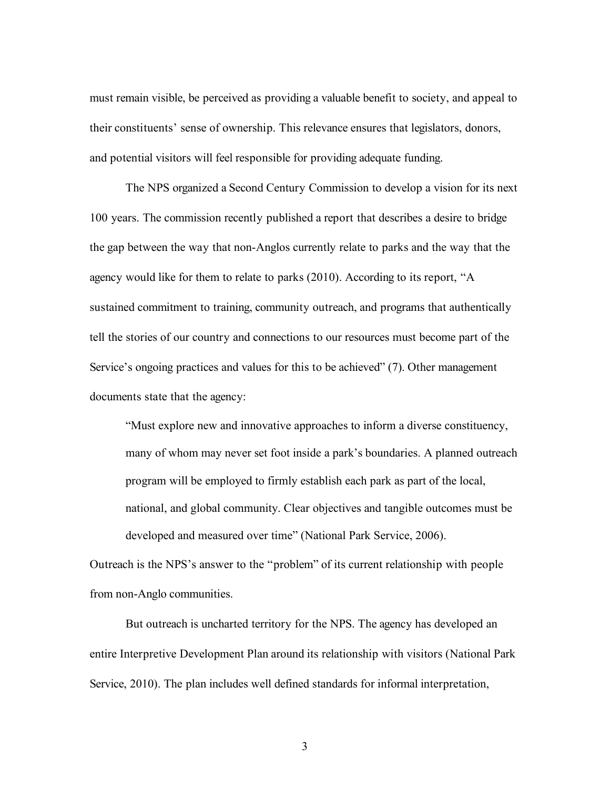must remain visible, be perceived as providing a valuable benefit to society, and appeal to their constituents' sense of ownership. This relevance ensures that legislators, donors, and potential visitors will feel responsible for providing adequate funding.

The NPS organized a Second Century Commission to develop a vision for its next 100 years. The commission recently published a report that describes a desire to bridge the gap between the way that non-Anglos currently relate to parks and the way that the agency would like for them to relate to parks (2010). According to its report, "A sustained commitment to training, community outreach, and programs that authentically tell the stories of our country and connections to our resources must become part of the Service's ongoing practices and values for this to be achieved" (7). Other management documents state that the agency:

"Must explore new and innovative approaches to inform a diverse constituency, many of whom may never set foot inside a park's boundaries. A planned outreach program will be employed to firmly establish each park as part of the local, national, and global community. Clear objectives and tangible outcomes must be developed and measured over time" (National Park Service, 2006).

Outreach is the NPS's answer to the "problem" of its current relationship with people from non-Anglo communities.

But outreach is uncharted territory for the NPS. The agency has developed an entire Interpretive Development Plan around its relationship with visitors (National Park Service, 2010). The plan includes well defined standards for informal interpretation,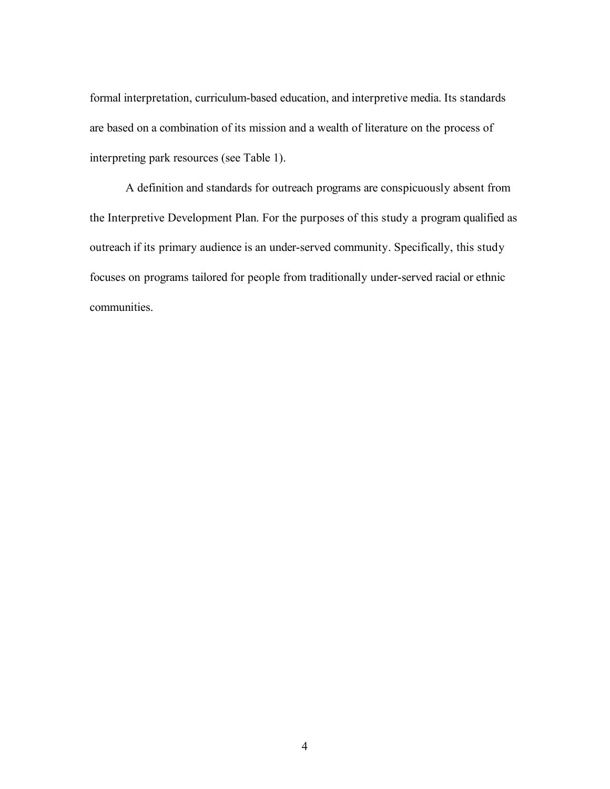formal interpretation, curriculum-based education, and interpretive media. Its standards are based on a combination of its mission and a wealth of literature on the process of interpreting park resources (see Table 1).

A definition and standards for outreach programs are conspicuously absent from the Interpretive Development Plan. For the purposes of this study a program qualified as outreach if its primary audience is an under-served community. Specifically, this study focuses on programs tailored for people from traditionally under-served racial or ethnic communities.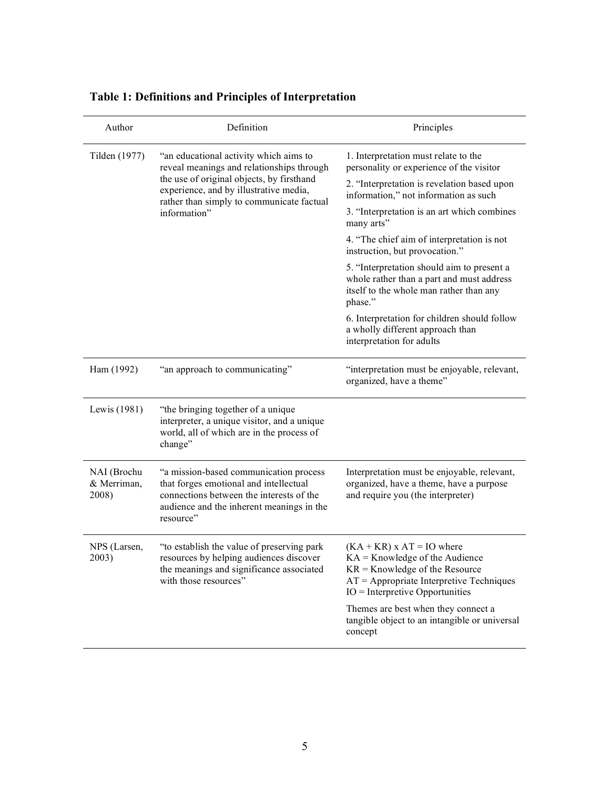| Author                              | Definition                                                                                                                                                                                                                              | Principles                                                                                                                                                                                                                                                                                   |
|-------------------------------------|-----------------------------------------------------------------------------------------------------------------------------------------------------------------------------------------------------------------------------------------|----------------------------------------------------------------------------------------------------------------------------------------------------------------------------------------------------------------------------------------------------------------------------------------------|
| Tilden (1977)                       | "an educational activity which aims to<br>reveal meanings and relationships through<br>the use of original objects, by firsthand<br>experience, and by illustrative media,<br>rather than simply to communicate factual<br>information" | 1. Interpretation must relate to the<br>personality or experience of the visitor                                                                                                                                                                                                             |
|                                     |                                                                                                                                                                                                                                         | 2. "Interpretation is revelation based upon<br>information," not information as such                                                                                                                                                                                                         |
|                                     |                                                                                                                                                                                                                                         | 3. "Interpretation is an art which combines<br>many arts"                                                                                                                                                                                                                                    |
|                                     |                                                                                                                                                                                                                                         | 4. "The chief aim of interpretation is not<br>instruction, but provocation."                                                                                                                                                                                                                 |
|                                     |                                                                                                                                                                                                                                         | 5. "Interpretation should aim to present a<br>whole rather than a part and must address<br>itself to the whole man rather than any<br>phase."                                                                                                                                                |
|                                     |                                                                                                                                                                                                                                         | 6. Interpretation for children should follow<br>a wholly different approach than<br>interpretation for adults                                                                                                                                                                                |
| Ham (1992)                          | "an approach to communicating"                                                                                                                                                                                                          | "interpretation must be enjoyable, relevant,<br>organized, have a theme"                                                                                                                                                                                                                     |
| Lewis (1981)                        | "the bringing together of a unique<br>interpreter, a unique visitor, and a unique<br>world, all of which are in the process of<br>change"                                                                                               |                                                                                                                                                                                                                                                                                              |
| NAI (Brochu<br>& Merriman,<br>2008) | "a mission-based communication process<br>that forges emotional and intellectual<br>connections between the interests of the<br>audience and the inherent meanings in the<br>resource"                                                  | Interpretation must be enjoyable, relevant,<br>organized, have a theme, have a purpose<br>and require you (the interpreter)                                                                                                                                                                  |
| NPS (Larsen,<br>2003)               | "to establish the value of preserving park<br>resources by helping audiences discover<br>the meanings and significance associated<br>with those resources"                                                                              | $(KA + KR)$ x AT = IO where<br>$KA =$ Knowledge of the Audience<br>$KR =$ Knowledge of the Resource<br>$AT =$ Appropriate Interpretive Techniques<br>$IO = Interpretive \; Opportunities$<br>Themes are best when they connect a<br>tangible object to an intangible or universal<br>concept |

## **Table 1: Definitions and Principles of Interpretation**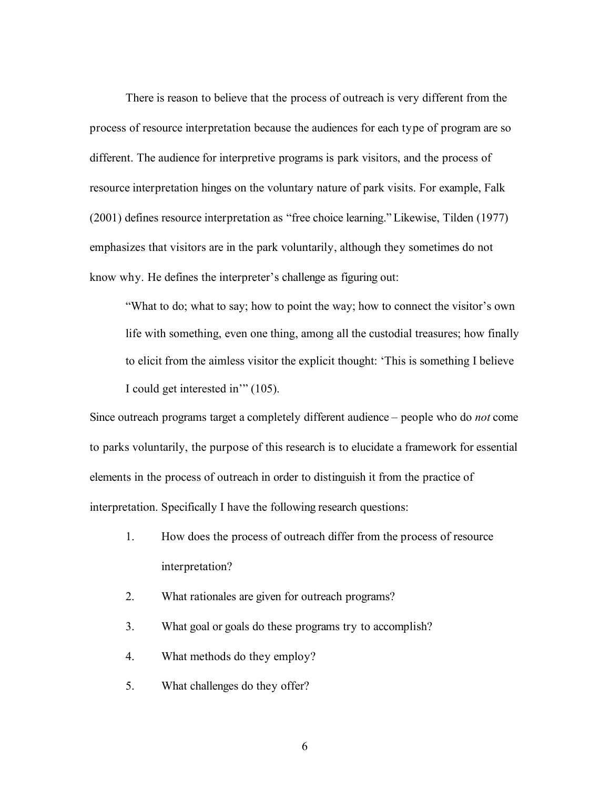There is reason to believe that the process of outreach is very different from the process of resource interpretation because the audiences for each type of program are so different. The audience for interpretive programs is park visitors, and the process of resource interpretation hinges on the voluntary nature of park visits. For example, Falk (2001) defines resource interpretation as "free choice learning." Likewise, Tilden (1977) emphasizes that visitors are in the park voluntarily, although they sometimes do not know why. He defines the interpreter's challenge as figuring out:

"What to do; what to say; how to point the way; how to connect the visitor's own life with something, even one thing, among all the custodial treasures; how finally to elicit from the aimless visitor the explicit thought: 'This is something I believe I could get interested in'" (105).

Since outreach programs target a completely different audience – people who do *not* come to parks voluntarily, the purpose of this research is to elucidate a framework for essential elements in the process of outreach in order to distinguish it from the practice of interpretation. Specifically I have the following research questions:

- 1. How does the process of outreach differ from the process of resource interpretation?
- 2. What rationales are given for outreach programs?
- 3. What goal or goals do these programs try to accomplish?
- 4. What methods do they employ?
- 5. What challenges do they offer?
	- 6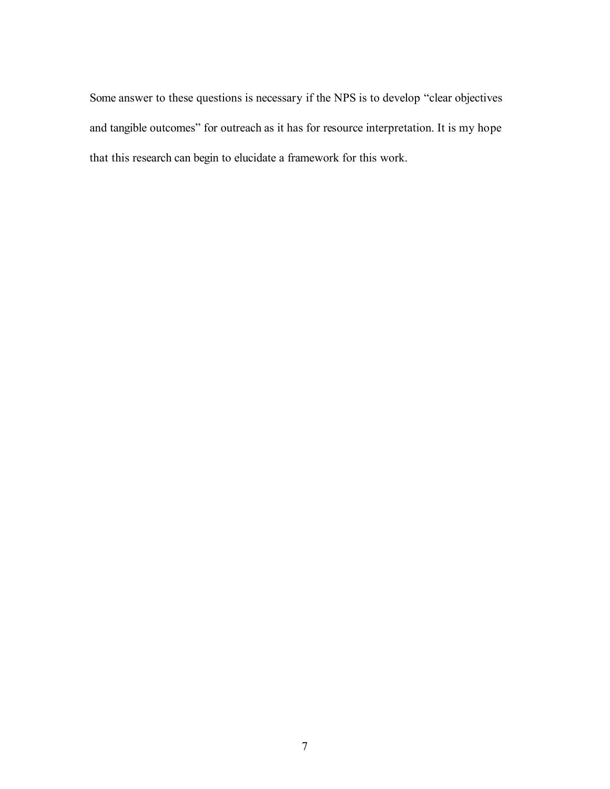Some answer to these questions is necessary if the NPS is to develop "clear objectives and tangible outcomes" for outreach as it has for resource interpretation. It is my hope that this research can begin to elucidate a framework for this work.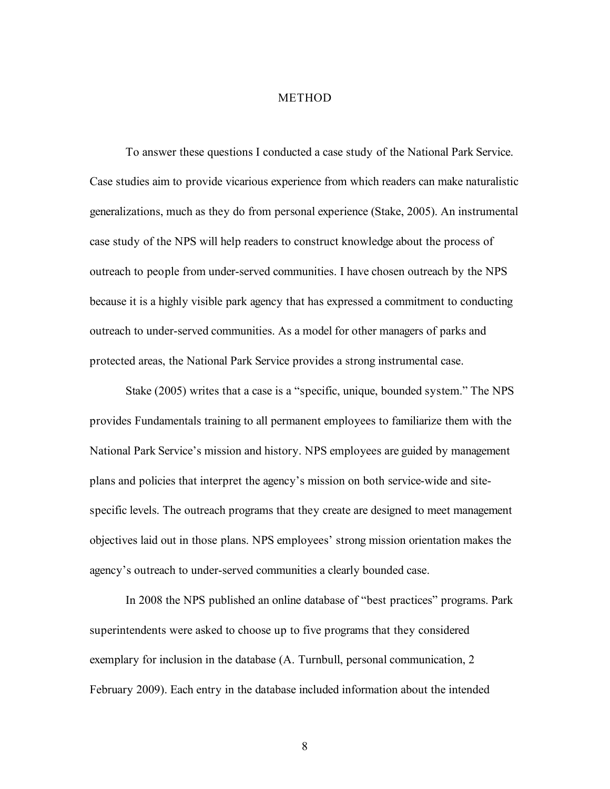### **METHOD**

To answer these questions I conducted a case study of the National Park Service. Case studies aim to provide vicarious experience from which readers can make naturalistic generalizations, much as they do from personal experience (Stake, 2005). An instrumental case study of the NPS will help readers to construct knowledge about the process of outreach to people from under-served communities. I have chosen outreach by the NPS because it is a highly visible park agency that has expressed a commitment to conducting outreach to under-served communities. As a model for other managers of parks and protected areas, the National Park Service provides a strong instrumental case.

Stake (2005) writes that a case is a "specific, unique, bounded system." The NPS provides Fundamentals training to all permanent employees to familiarize them with the National Park Service's mission and history. NPS employees are guided by management plans and policies that interpret the agency's mission on both service-wide and sitespecific levels. The outreach programs that they create are designed to meet management objectives laid out in those plans. NPS employees' strong mission orientation makes the agency's outreach to under-served communities a clearly bounded case.

In 2008 the NPS published an online database of "best practices" programs. Park superintendents were asked to choose up to five programs that they considered exemplary for inclusion in the database (A. Turnbull, personal communication, 2 February 2009). Each entry in the database included information about the intended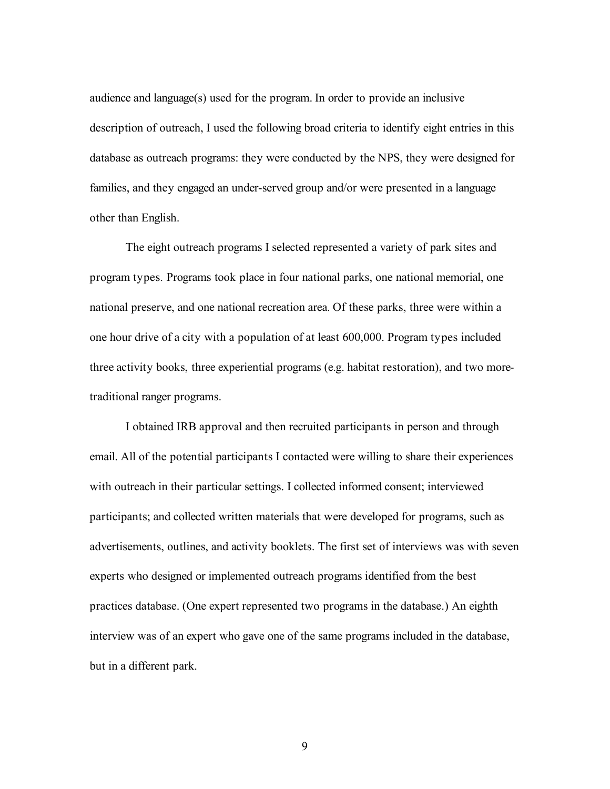audience and language(s) used for the program. In order to provide an inclusive description of outreach, I used the following broad criteria to identify eight entries in this database as outreach programs: they were conducted by the NPS, they were designed for families, and they engaged an under-served group and/or were presented in a language other than English.

The eight outreach programs I selected represented a variety of park sites and program types. Programs took place in four national parks, one national memorial, one national preserve, and one national recreation area. Of these parks, three were within a one hour drive of a city with a population of at least 600,000. Program types included three activity books, three experiential programs (e.g. habitat restoration), and two moretraditional ranger programs.

I obtained IRB approval and then recruited participants in person and through email. All of the potential participants I contacted were willing to share their experiences with outreach in their particular settings. I collected informed consent; interviewed participants; and collected written materials that were developed for programs, such as advertisements, outlines, and activity booklets. The first set of interviews was with seven experts who designed or implemented outreach programs identified from the best practices database. (One expert represented two programs in the database.) An eighth interview was of an expert who gave one of the same programs included in the database, but in a different park.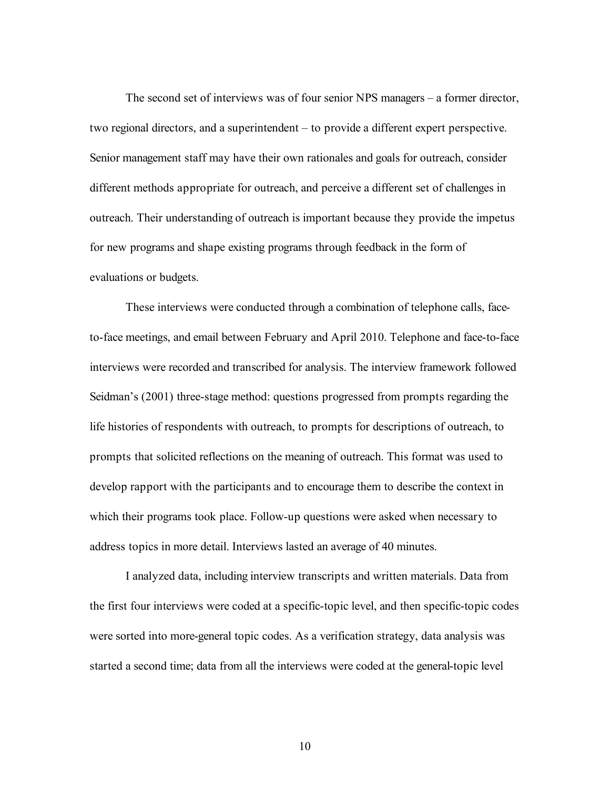The second set of interviews was of four senior NPS managers – a former director, two regional directors, and a superintendent – to provide a different expert perspective. Senior management staff may have their own rationales and goals for outreach, consider different methods appropriate for outreach, and perceive a different set of challenges in outreach. Their understanding of outreach is important because they provide the impetus for new programs and shape existing programs through feedback in the form of evaluations or budgets.

These interviews were conducted through a combination of telephone calls, faceto-face meetings, and email between February and April 2010. Telephone and face-to-face interviews were recorded and transcribed for analysis. The interview framework followed Seidman's (2001) three-stage method: questions progressed from prompts regarding the life histories of respondents with outreach, to prompts for descriptions of outreach, to prompts that solicited reflections on the meaning of outreach. This format was used to develop rapport with the participants and to encourage them to describe the context in which their programs took place. Follow-up questions were asked when necessary to address topics in more detail. Interviews lasted an average of 40 minutes.

I analyzed data, including interview transcripts and written materials. Data from the first four interviews were coded at a specific-topic level, and then specific-topic codes were sorted into more-general topic codes. As a verification strategy, data analysis was started a second time; data from all the interviews were coded at the general-topic level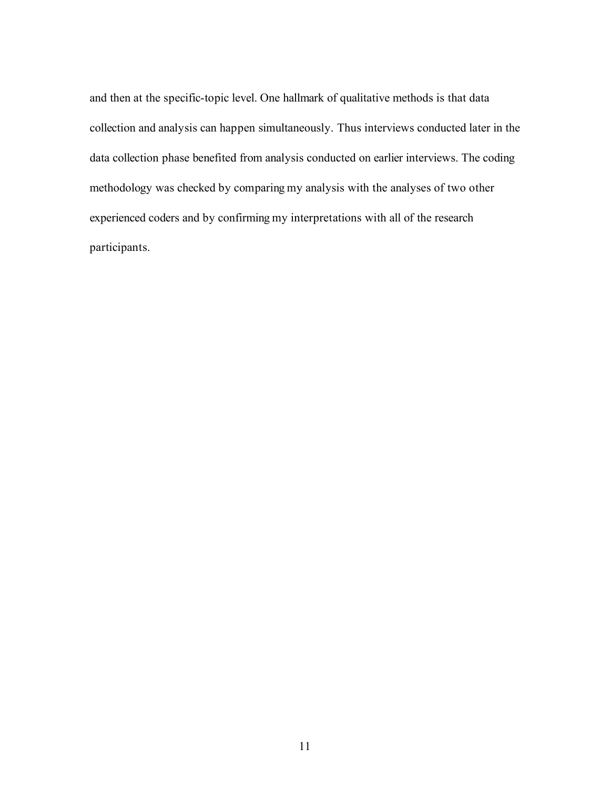and then at the specific-topic level. One hallmark of qualitative methods is that data collection and analysis can happen simultaneously. Thus interviews conducted later in the data collection phase benefited from analysis conducted on earlier interviews. The coding methodology was checked by comparing my analysis with the analyses of two other experienced coders and by confirming my interpretations with all of the research participants.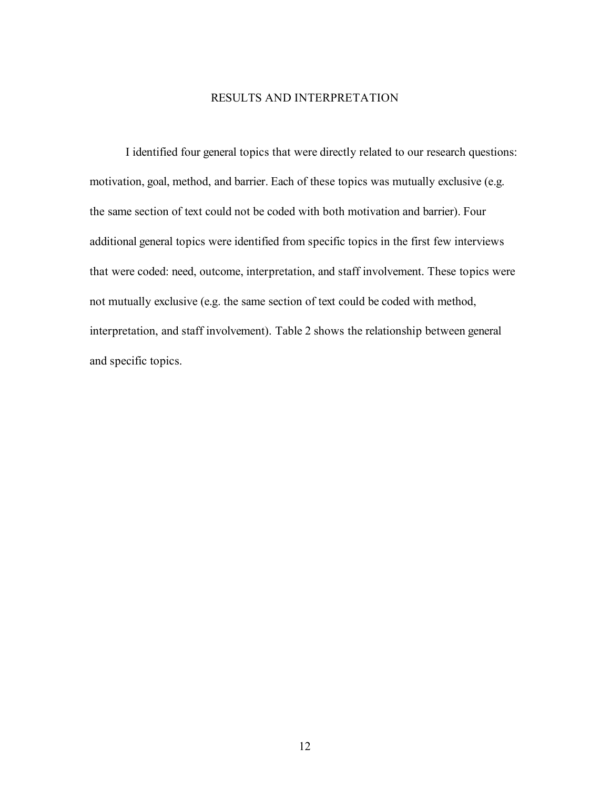### RESULTS AND INTERPRETATION

I identified four general topics that were directly related to our research questions: motivation, goal, method, and barrier. Each of these topics was mutually exclusive (e.g. the same section of text could not be coded with both motivation and barrier). Four additional general topics were identified from specific topics in the first few interviews that were coded: need, outcome, interpretation, and staff involvement. These topics were not mutually exclusive (e.g. the same section of text could be coded with method, interpretation, and staff involvement). Table 2 shows the relationship between general and specific topics.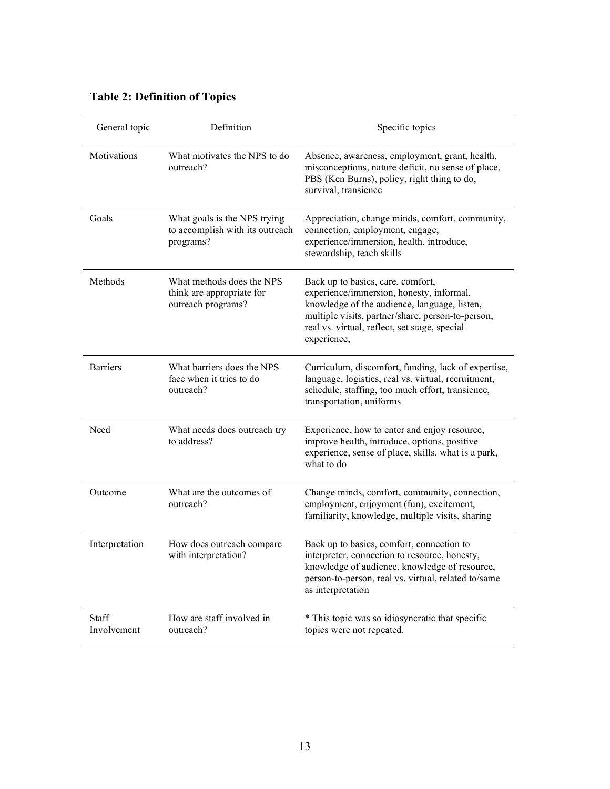## **Table 2: Definition of Topics**

| General topic        | Definition                                                                   | Specific topics                                                                                                                                                                                                                                    |
|----------------------|------------------------------------------------------------------------------|----------------------------------------------------------------------------------------------------------------------------------------------------------------------------------------------------------------------------------------------------|
| Motivations          | What motivates the NPS to do<br>outreach?                                    | Absence, awareness, employment, grant, health,<br>misconceptions, nature deficit, no sense of place,<br>PBS (Ken Burns), policy, right thing to do,<br>survival, transience                                                                        |
| Goals                | What goals is the NPS trying<br>to accomplish with its outreach<br>programs? | Appreciation, change minds, comfort, community,<br>connection, employment, engage,<br>experience/immersion, health, introduce,<br>stewardship, teach skills                                                                                        |
| Methods              | What methods does the NPS<br>think are appropriate for<br>outreach programs? | Back up to basics, care, comfort,<br>experience/immersion, honesty, informal,<br>knowledge of the audience, language, listen,<br>multiple visits, partner/share, person-to-person,<br>real vs. virtual, reflect, set stage, special<br>experience, |
| <b>Barriers</b>      | What barriers does the NPS<br>face when it tries to do<br>outreach?          | Curriculum, discomfort, funding, lack of expertise,<br>language, logistics, real vs. virtual, recruitment,<br>schedule, staffing, too much effort, transience,<br>transportation, uniforms                                                         |
| Need                 | What needs does outreach try<br>to address?                                  | Experience, how to enter and enjoy resource,<br>improve health, introduce, options, positive<br>experience, sense of place, skills, what is a park,<br>what to do                                                                                  |
| Outcome              | What are the outcomes of<br>outreach?                                        | Change minds, comfort, community, connection,<br>employment, enjoyment (fun), excitement,<br>familiarity, knowledge, multiple visits, sharing                                                                                                      |
| Interpretation       | How does outreach compare<br>with interpretation?                            | Back up to basics, comfort, connection to<br>interpreter, connection to resource, honesty,<br>knowledge of audience, knowledge of resource,<br>person-to-person, real vs. virtual, related to/same<br>as interpretation                            |
| Staff<br>Involvement | How are staff involved in<br>outreach?                                       | * This topic was so idiosyncratic that specific<br>topics were not repeated.                                                                                                                                                                       |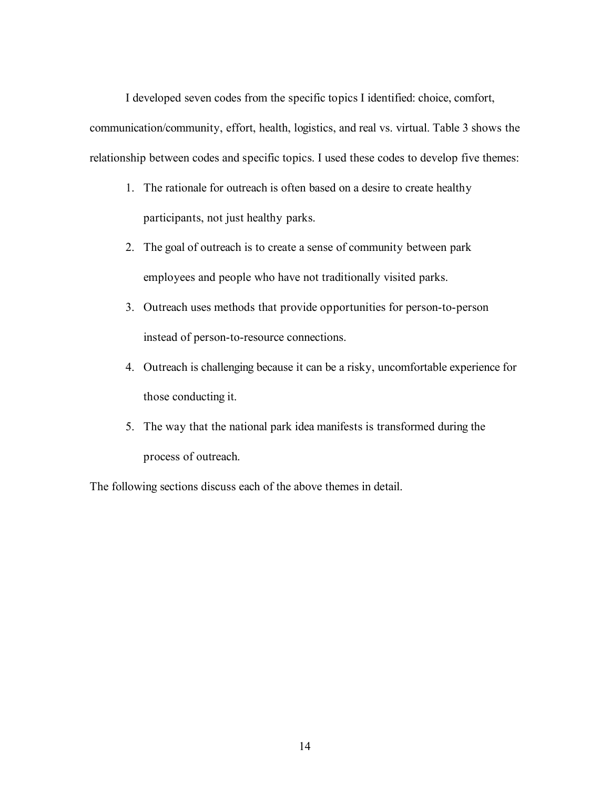I developed seven codes from the specific topics I identified: choice, comfort, communication/community, effort, health, logistics, and real vs. virtual. Table 3 shows the relationship between codes and specific topics. I used these codes to develop five themes:

- 1. The rationale for outreach is often based on a desire to create healthy participants, not just healthy parks.
- 2. The goal of outreach is to create a sense of community between park employees and people who have not traditionally visited parks.
- 3. Outreach uses methods that provide opportunities for person-to-person instead of person-to-resource connections.
- 4. Outreach is challenging because it can be a risky, uncomfortable experience for those conducting it.
- 5. The way that the national park idea manifests is transformed during the process of outreach.

The following sections discuss each of the above themes in detail.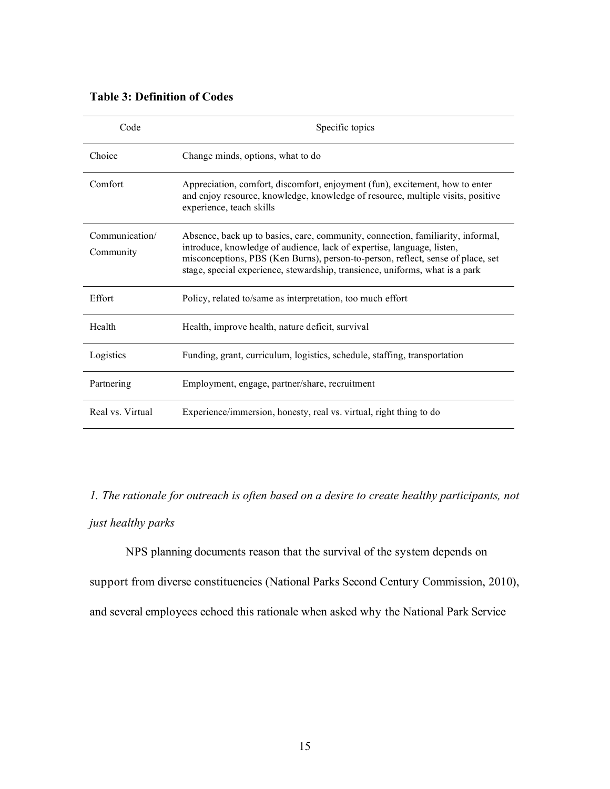### **Table 3: Definition of Codes**

| Code                        | Specific topics                                                                                                                                                                                                                                                                                                              |
|-----------------------------|------------------------------------------------------------------------------------------------------------------------------------------------------------------------------------------------------------------------------------------------------------------------------------------------------------------------------|
| Choice                      | Change minds, options, what to do                                                                                                                                                                                                                                                                                            |
| Comfort                     | Appreciation, comfort, discomfort, enjoyment (fun), excitement, how to enter<br>and enjoy resource, knowledge, knowledge of resource, multiple visits, positive<br>experience, teach skills                                                                                                                                  |
| Communication/<br>Community | Absence, back up to basics, care, community, connection, familiarity, informal,<br>introduce, knowledge of audience, lack of expertise, language, listen,<br>misconceptions, PBS (Ken Burns), person-to-person, reflect, sense of place, set<br>stage, special experience, stewardship, transience, uniforms, what is a park |
| Effort                      | Policy, related to/same as interpretation, too much effort                                                                                                                                                                                                                                                                   |
| Health                      | Health, improve health, nature deficit, survival                                                                                                                                                                                                                                                                             |
| Logistics                   | Funding, grant, curriculum, logistics, schedule, staffing, transportation                                                                                                                                                                                                                                                    |
| Partnering                  | Employment, engage, partner/share, recruitment                                                                                                                                                                                                                                                                               |
| Real vs. Virtual            | Experience/immersion, honesty, real vs. virtual, right thing to do                                                                                                                                                                                                                                                           |

*1. The rationale for outreach is often based on a desire to create healthy participants, not just healthy parks*

NPS planning documents reason that the survival of the system depends on support from diverse constituencies (National Parks Second Century Commission, 2010), and several employees echoed this rationale when asked why the National Park Service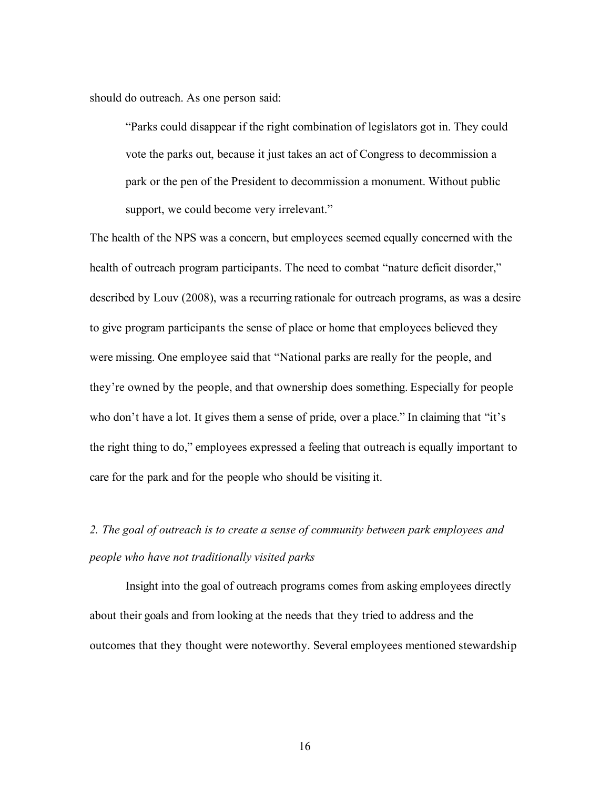should do outreach. As one person said:

"Parks could disappear if the right combination of legislators got in. They could vote the parks out, because it just takes an act of Congress to decommission a park or the pen of the President to decommission a monument. Without public support, we could become very irrelevant."

The health of the NPS was a concern, but employees seemed equally concerned with the health of outreach program participants. The need to combat "nature deficit disorder," described by Louv (2008), was a recurring rationale for outreach programs, as was a desire to give program participants the sense of place or home that employees believed they were missing. One employee said that "National parks are really for the people, and they're owned by the people, and that ownership does something. Especially for people who don't have a lot. It gives them a sense of pride, over a place." In claiming that "it's the right thing to do," employees expressed a feeling that outreach is equally important to care for the park and for the people who should be visiting it.

## *2. The goal of outreach is to create a sense of community between park employees and people who have not traditionally visited parks*

Insight into the goal of outreach programs comes from asking employees directly about their goals and from looking at the needs that they tried to address and the outcomes that they thought were noteworthy. Several employees mentioned stewardship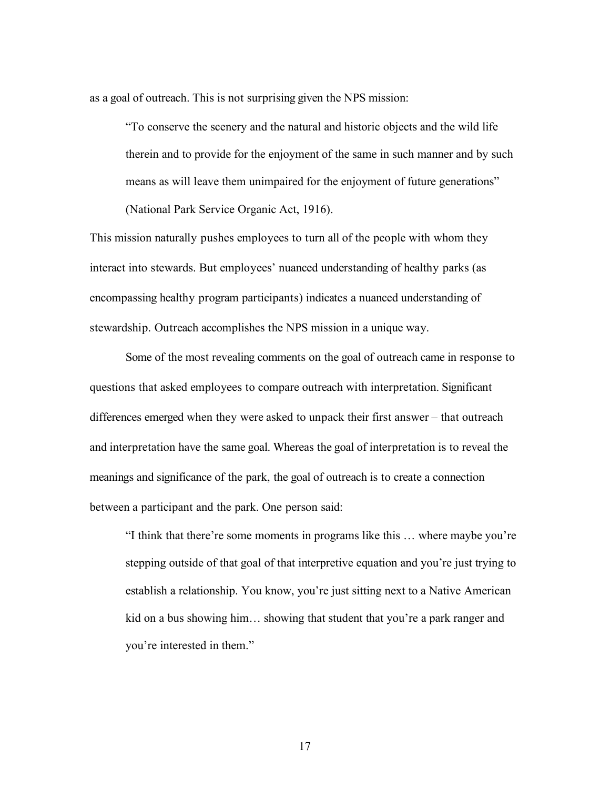as a goal of outreach. This is not surprising given the NPS mission:

"To conserve the scenery and the natural and historic objects and the wild life therein and to provide for the enjoyment of the same in such manner and by such means as will leave them unimpaired for the enjoyment of future generations" (National Park Service Organic Act, 1916).

This mission naturally pushes employees to turn all of the people with whom they interact into stewards. But employees' nuanced understanding of healthy parks (as encompassing healthy program participants) indicates a nuanced understanding of stewardship. Outreach accomplishes the NPS mission in a unique way.

Some of the most revealing comments on the goal of outreach came in response to questions that asked employees to compare outreach with interpretation. Significant differences emerged when they were asked to unpack their first answer – that outreach and interpretation have the same goal. Whereas the goal of interpretation is to reveal the meanings and significance of the park, the goal of outreach is to create a connection between a participant and the park. One person said:

"I think that there're some moments in programs like this … where maybe you're stepping outside of that goal of that interpretive equation and you're just trying to establish a relationship. You know, you're just sitting next to a Native American kid on a bus showing him… showing that student that you're a park ranger and you're interested in them."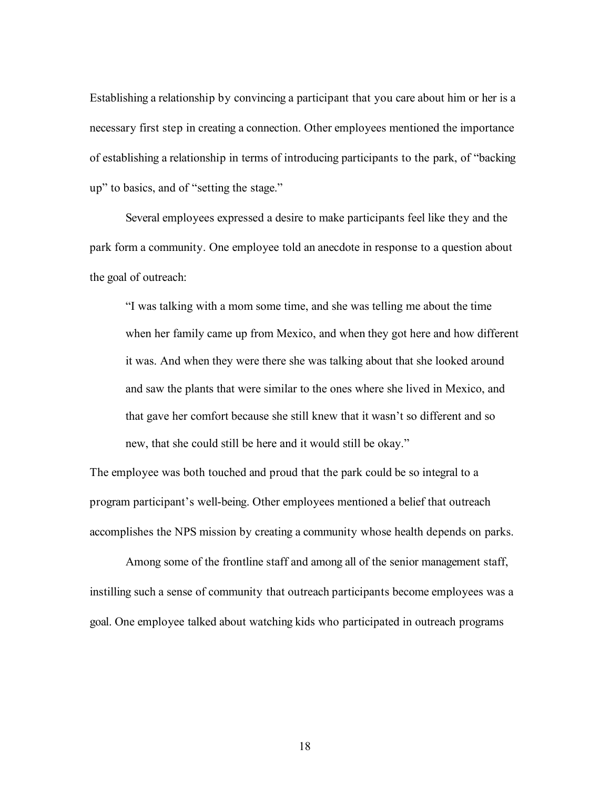Establishing a relationship by convincing a participant that you care about him or her is a necessary first step in creating a connection. Other employees mentioned the importance of establishing a relationship in terms of introducing participants to the park, of "backing up" to basics, and of "setting the stage."

Several employees expressed a desire to make participants feel like they and the park form a community. One employee told an anecdote in response to a question about the goal of outreach:

"I was talking with a mom some time, and she was telling me about the time when her family came up from Mexico, and when they got here and how different it was. And when they were there she was talking about that she looked around and saw the plants that were similar to the ones where she lived in Mexico, and that gave her comfort because she still knew that it wasn't so different and so new, that she could still be here and it would still be okay."

The employee was both touched and proud that the park could be so integral to a program participant's well-being. Other employees mentioned a belief that outreach accomplishes the NPS mission by creating a community whose health depends on parks.

Among some of the frontline staff and among all of the senior management staff, instilling such a sense of community that outreach participants become employees was a goal. One employee talked about watching kids who participated in outreach programs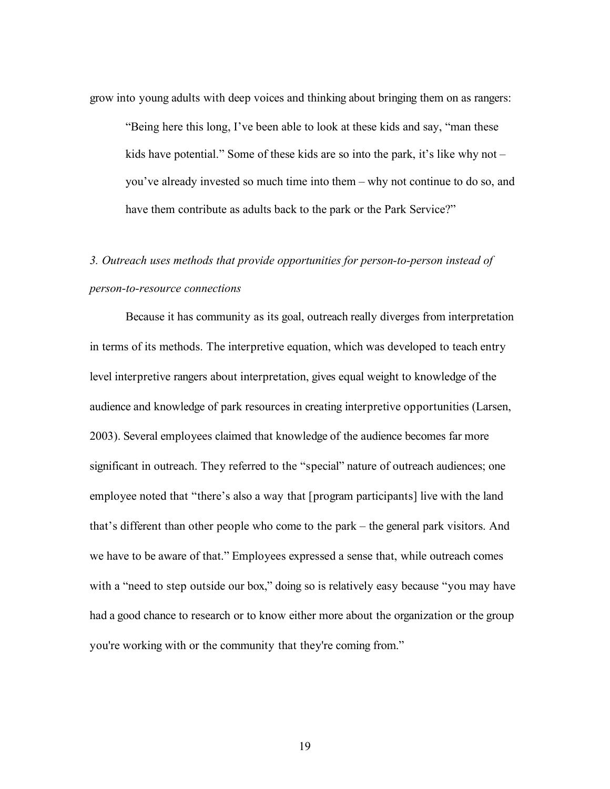grow into young adults with deep voices and thinking about bringing them on as rangers:

"Being here this long, I've been able to look at these kids and say, "man these kids have potential." Some of these kids are so into the park, it's like why not – you've already invested so much time into them – why not continue to do so, and have them contribute as adults back to the park or the Park Service?"

## *3. Outreach uses methods that provide opportunities for person-to-person instead of person-to-resource connections*

Because it has community as its goal, outreach really diverges from interpretation in terms of its methods. The interpretive equation, which was developed to teach entry level interpretive rangers about interpretation, gives equal weight to knowledge of the audience and knowledge of park resources in creating interpretive opportunities (Larsen, 2003). Several employees claimed that knowledge of the audience becomes far more significant in outreach. They referred to the "special" nature of outreach audiences; one employee noted that "there's also a way that [program participants] live with the land that's different than other people who come to the park – the general park visitors. And we have to be aware of that." Employees expressed a sense that, while outreach comes with a "need to step outside our box," doing so is relatively easy because "you may have had a good chance to research or to know either more about the organization or the group you're working with or the community that they're coming from."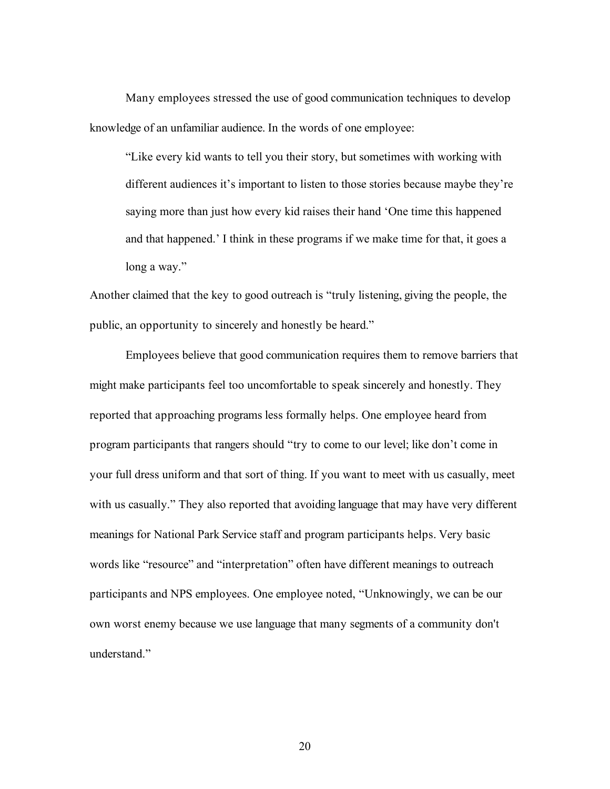Many employees stressed the use of good communication techniques to develop knowledge of an unfamiliar audience. In the words of one employee:

"Like every kid wants to tell you their story, but sometimes with working with different audiences it's important to listen to those stories because maybe they're saying more than just how every kid raises their hand 'One time this happened and that happened.' I think in these programs if we make time for that, it goes a long a way."

Another claimed that the key to good outreach is "truly listening, giving the people, the public, an opportunity to sincerely and honestly be heard."

Employees believe that good communication requires them to remove barriers that might make participants feel too uncomfortable to speak sincerely and honestly. They reported that approaching programs less formally helps. One employee heard from program participants that rangers should "try to come to our level; like don't come in your full dress uniform and that sort of thing. If you want to meet with us casually, meet with us casually." They also reported that avoiding language that may have very different meanings for National Park Service staff and program participants helps. Very basic words like "resource" and "interpretation" often have different meanings to outreach participants and NPS employees. One employee noted, "Unknowingly, we can be our own worst enemy because we use language that many segments of a community don't understand."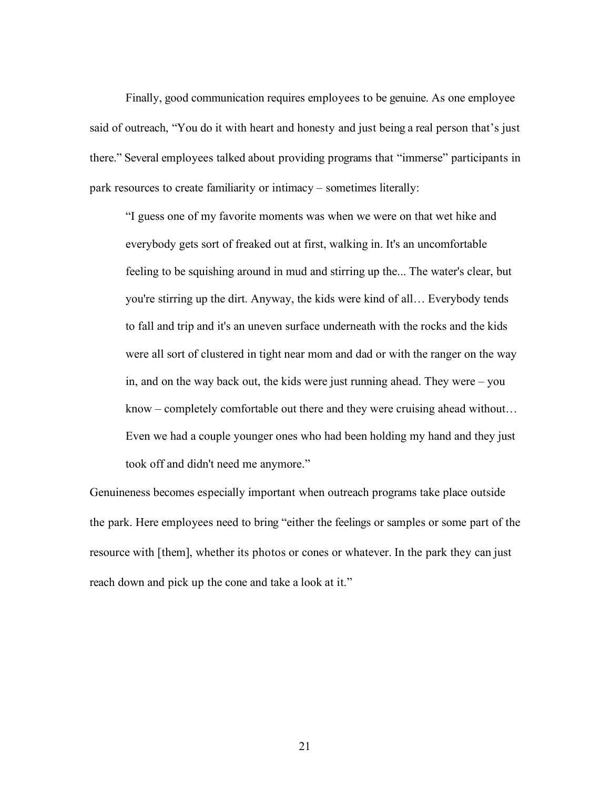Finally, good communication requires employees to be genuine. As one employee said of outreach, "You do it with heart and honesty and just being a real person that's just there." Several employees talked about providing programs that "immerse" participants in park resources to create familiarity or intimacy – sometimes literally:

"I guess one of my favorite moments was when we were on that wet hike and everybody gets sort of freaked out at first, walking in. It's an uncomfortable feeling to be squishing around in mud and stirring up the... The water's clear, but you're stirring up the dirt. Anyway, the kids were kind of all… Everybody tends to fall and trip and it's an uneven surface underneath with the rocks and the kids were all sort of clustered in tight near mom and dad or with the ranger on the way in, and on the way back out, the kids were just running ahead. They were – you know – completely comfortable out there and they were cruising ahead without… Even we had a couple younger ones who had been holding my hand and they just took off and didn't need me anymore."

Genuineness becomes especially important when outreach programs take place outside the park. Here employees need to bring "either the feelings or samples or some part of the resource with [them], whether its photos or cones or whatever. In the park they can just reach down and pick up the cone and take a look at it."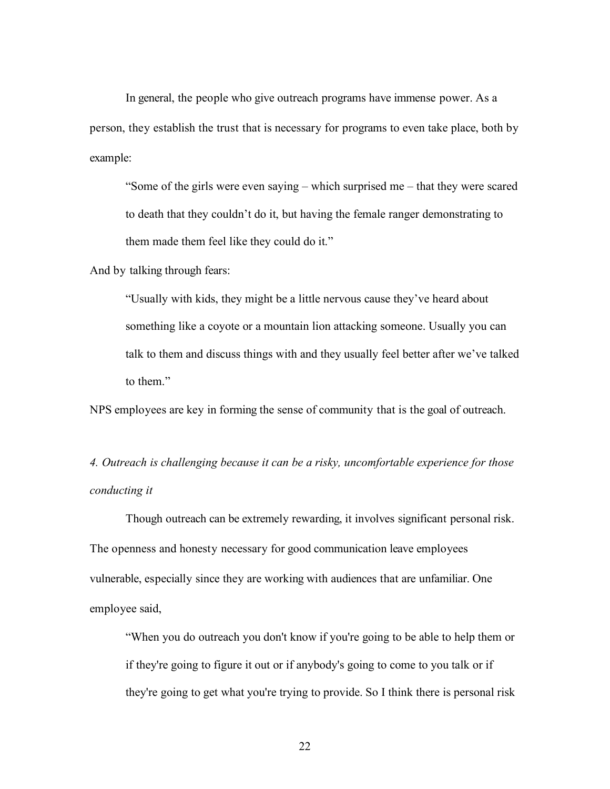In general, the people who give outreach programs have immense power. As a person, they establish the trust that is necessary for programs to even take place, both by example:

"Some of the girls were even saying – which surprised me – that they were scared to death that they couldn't do it, but having the female ranger demonstrating to them made them feel like they could do it."

And by talking through fears:

"Usually with kids, they might be a little nervous cause they've heard about something like a coyote or a mountain lion attacking someone. Usually you can talk to them and discuss things with and they usually feel better after we've talked to them."

NPS employees are key in forming the sense of community that is the goal of outreach.

*4. Outreach is challenging because it can be a risky, uncomfortable experience for those conducting it*

Though outreach can be extremely rewarding, it involves significant personal risk. The openness and honesty necessary for good communication leave employees vulnerable, especially since they are working with audiences that are unfamiliar. One employee said,

"When you do outreach you don't know if you're going to be able to help them or if they're going to figure it out or if anybody's going to come to you talk or if they're going to get what you're trying to provide. So I think there is personal risk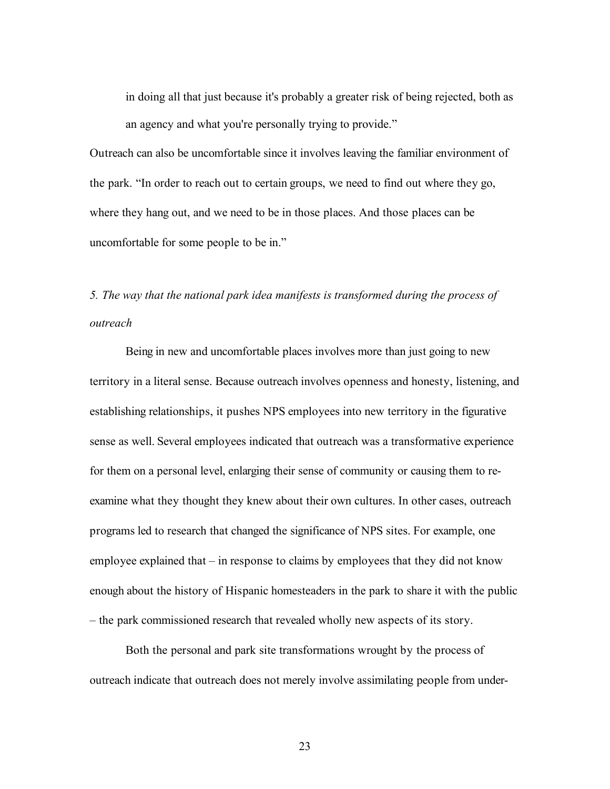in doing all that just because it's probably a greater risk of being rejected, both as an agency and what you're personally trying to provide."

Outreach can also be uncomfortable since it involves leaving the familiar environment of the park. "In order to reach out to certain groups, we need to find out where they go, where they hang out, and we need to be in those places. And those places can be uncomfortable for some people to be in."

*5. The way that the national park idea manifests is transformed during the process of outreach*

Being in new and uncomfortable places involves more than just going to new territory in a literal sense. Because outreach involves openness and honesty, listening, and establishing relationships, it pushes NPS employees into new territory in the figurative sense as well. Several employees indicated that outreach was a transformative experience for them on a personal level, enlarging their sense of community or causing them to reexamine what they thought they knew about their own cultures. In other cases, outreach programs led to research that changed the significance of NPS sites. For example, one employee explained that – in response to claims by employees that they did not know enough about the history of Hispanic homesteaders in the park to share it with the public – the park commissioned research that revealed wholly new aspects of its story.

Both the personal and park site transformations wrought by the process of outreach indicate that outreach does not merely involve assimilating people from under-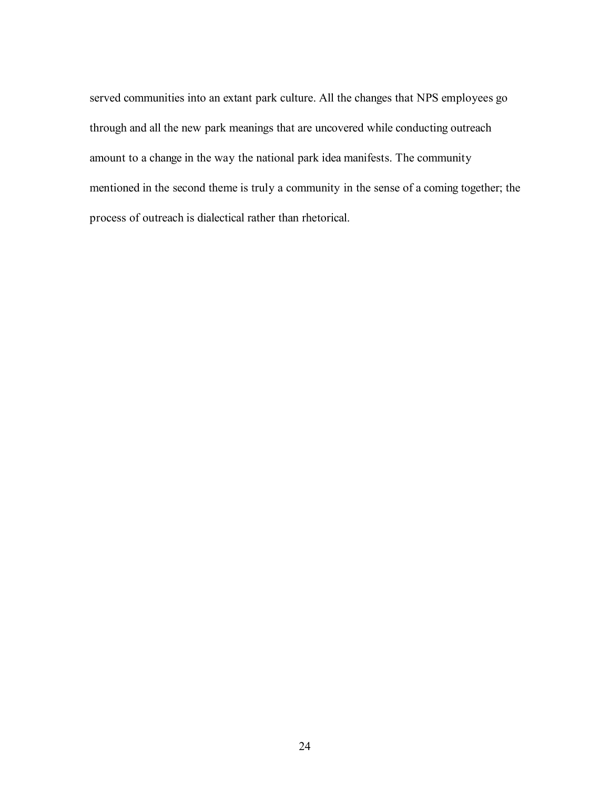served communities into an extant park culture. All the changes that NPS employees go through and all the new park meanings that are uncovered while conducting outreach amount to a change in the way the national park idea manifests. The community mentioned in the second theme is truly a community in the sense of a coming together; the process of outreach is dialectical rather than rhetorical.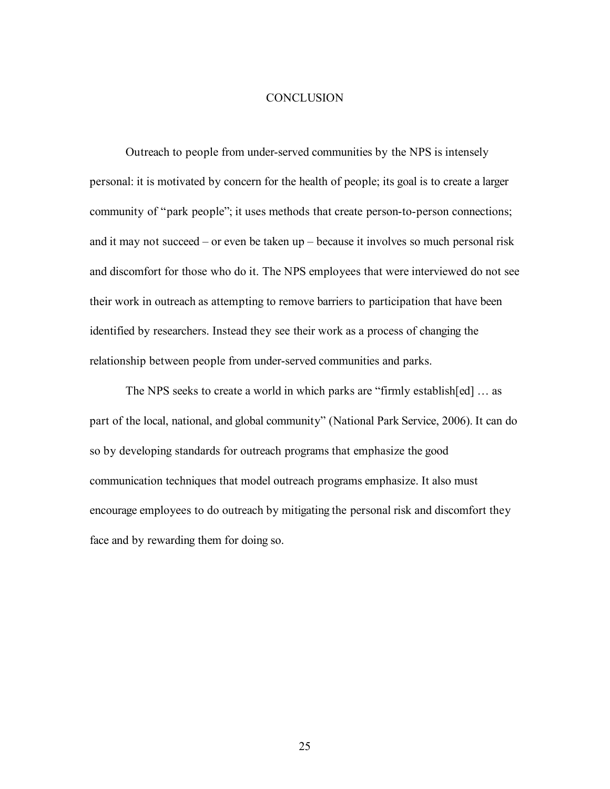### **CONCLUSION**

Outreach to people from under-served communities by the NPS is intensely personal: it is motivated by concern for the health of people; its goal is to create a larger community of "park people"; it uses methods that create person-to-person connections; and it may not succeed – or even be taken up – because it involves so much personal risk and discomfort for those who do it. The NPS employees that were interviewed do not see their work in outreach as attempting to remove barriers to participation that have been identified by researchers. Instead they see their work as a process of changing the relationship between people from under-served communities and parks.

The NPS seeks to create a world in which parks are "firmly establish[ed] … as part of the local, national, and global community" (National Park Service, 2006). It can do so by developing standards for outreach programs that emphasize the good communication techniques that model outreach programs emphasize. It also must encourage employees to do outreach by mitigating the personal risk and discomfort they face and by rewarding them for doing so.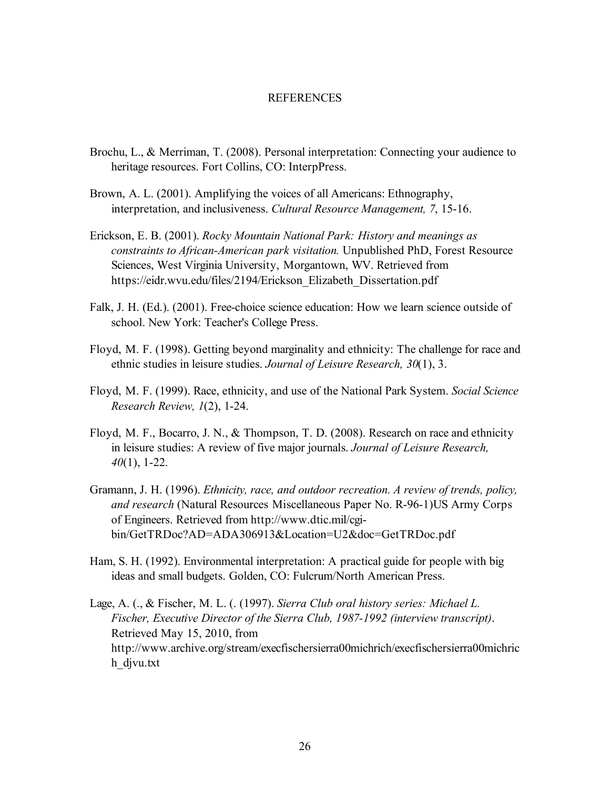### REFERENCES

- Brochu, L., & Merriman, T. (2008). Personal interpretation: Connecting your audience to heritage resources. Fort Collins, CO: InterpPress.
- Brown, A. L. (2001). Amplifying the voices of all Americans: Ethnography, interpretation, and inclusiveness. *Cultural Resource Management, 7*, 15-16.
- Erickson, E. B. (2001). *Rocky Mountain National Park: History and meanings as constraints to African-American park visitation.* Unpublished PhD, Forest Resource Sciences, West Virginia University, Morgantown, WV. Retrieved from https://eidr.wvu.edu/files/2194/Erickson\_Elizabeth\_Dissertation.pdf
- Falk, J. H. (Ed.). (2001). Free-choice science education: How we learn science outside of school. New York: Teacher's College Press.
- Floyd, M. F. (1998). Getting beyond marginality and ethnicity: The challenge for race and ethnic studies in leisure studies. *Journal of Leisure Research, 30*(1), 3.
- Floyd, M. F. (1999). Race, ethnicity, and use of the National Park System. *Social Science Research Review, 1*(2), 1-24.
- Floyd, M. F., Bocarro, J. N., & Thompson, T. D. (2008). Research on race and ethnicity in leisure studies: A review of five major journals. *Journal of Leisure Research, 40*(1), 1-22.
- Gramann, J. H. (1996). *Ethnicity, race, and outdoor recreation. A review of trends, policy, and research* (Natural Resources Miscellaneous Paper No. R-96-1)US Army Corps of Engineers. Retrieved from http://www.dtic.mil/cgibin/GetTRDoc?AD=ADA306913&Location=U2&doc=GetTRDoc.pdf
- Ham, S. H. (1992). Environmental interpretation: A practical guide for people with big ideas and small budgets. Golden, CO: Fulcrum/North American Press.
- Lage, A. (., & Fischer, M. L. (. (1997). *Sierra Club oral history series: Michael L. Fischer, Executive Director of the Sierra Club, 1987-1992 (interview transcript)*. Retrieved May 15, 2010, from http://www.archive.org/stream/execfischersierra00michrich/execfischersierra00michric h\_djvu.txt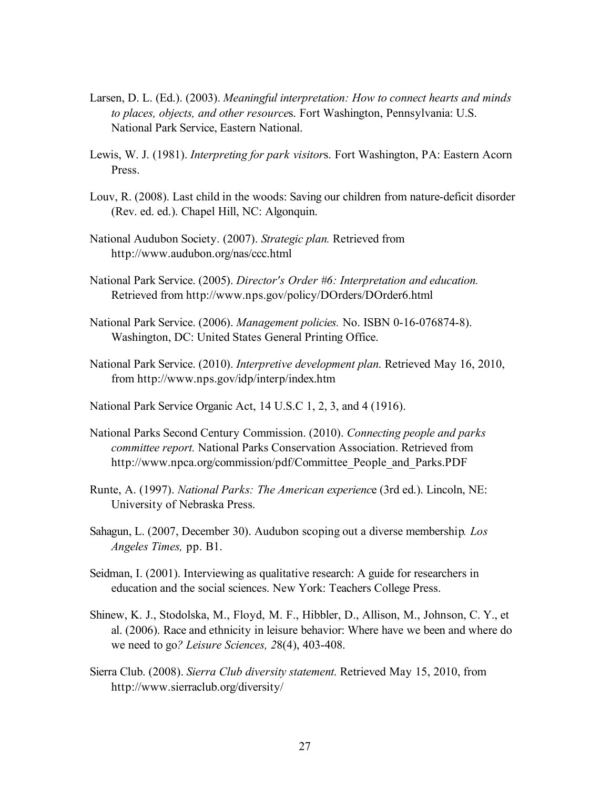- Larsen, D. L. (Ed.). (2003). *Meaningful interpretation: How to connect hearts and minds to places, objects, and other resource*s. Fort Washington, Pennsylvania: U.S. National Park Service, Eastern National.
- Lewis, W. J. (1981). *Interpreting for park visitor*s. Fort Washington, PA: Eastern Acorn Press.
- Louv, R. (2008). Last child in the woods: Saving our children from nature-deficit disorder (Rev. ed. ed.). Chapel Hill, NC: Algonquin.
- National Audubon Society. (2007). *Strategic plan.* Retrieved from http://www.audubon.org/nas/ccc.html
- National Park Service. (2005). *Director's Order #6: Interpretation and education.* Retrieved from http://www.nps.gov/policy/DOrders/DOrder6.html
- National Park Service. (2006). *Management policies.* No. ISBN 0-16-076874-8). Washington, DC: United States General Printing Office.
- National Park Service. (2010). *Interpretive development plan*. Retrieved May 16, 2010, from http://www.nps.gov/idp/interp/index.htm
- National Park Service Organic Act, 14 U.S.C 1, 2, 3, and 4 (1916).
- National Parks Second Century Commission. (2010). *Connecting people and parks committee report.* National Parks Conservation Association. Retrieved from http://www.npca.org/commission/pdf/Committee\_People\_and\_Parks.PDF
- Runte, A. (1997). *National Parks: The American experienc*e (3rd ed.). Lincoln, NE: University of Nebraska Press.
- Sahagun, L. (2007, December 30). Audubon scoping out a diverse membership*. Los Angeles Times,* pp. B1.
- Seidman, I. (2001). Interviewing as qualitative research: A guide for researchers in education and the social sciences. New York: Teachers College Press.
- Shinew, K. J., Stodolska, M., Floyd, M. F., Hibbler, D., Allison, M., Johnson, C. Y., et al. (2006). Race and ethnicity in leisure behavior: Where have we been and where do we need to go*? Leisure Sciences, 2*8(4), 403-408.
- Sierra Club. (2008). *Sierra Club diversity statement*. Retrieved May 15, 2010, from http://www.sierraclub.org/diversity/